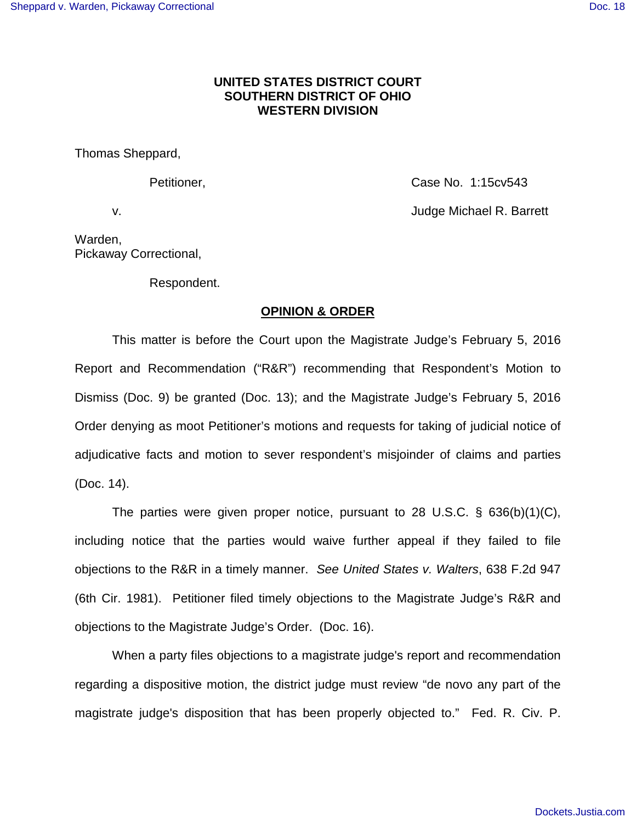## **UNITED STATES DISTRICT COURT SOUTHERN DISTRICT OF OHIO WESTERN DIVISION**

Thomas Sheppard,

Petitioner, Case No. 1:15cv543 v. Judge Michael R. Barrett

Warden, Pickaway Correctional,

Respondent.

## **OPINION & ORDER**

This matter is before the Court upon the Magistrate Judge's February 5, 2016 Report and Recommendation ("R&R") recommending that Respondent's Motion to Dismiss (Doc. 9) be granted (Doc. 13); and the Magistrate Judge's February 5, 2016 Order denying as moot Petitioner's motions and requests for taking of judicial notice of adjudicative facts and motion to sever respondent's misjoinder of claims and parties (Doc. 14).

The parties were given proper notice, pursuant to 28 U.S.C. § 636(b)(1)(C), including notice that the parties would waive further appeal if they failed to file objections to the R&R in a timely manner. See United States v. Walters, 638 F.2d 947 (6th Cir. 1981). Petitioner filed timely objections to the Magistrate Judge's R&R and objections to the Magistrate Judge's Order. (Doc. 16).

When a party files objections to a magistrate judge's report and recommendation regarding a dispositive motion, the district judge must review "de novo any part of the magistrate judge's disposition that has been properly objected to." Fed. R. Civ. P.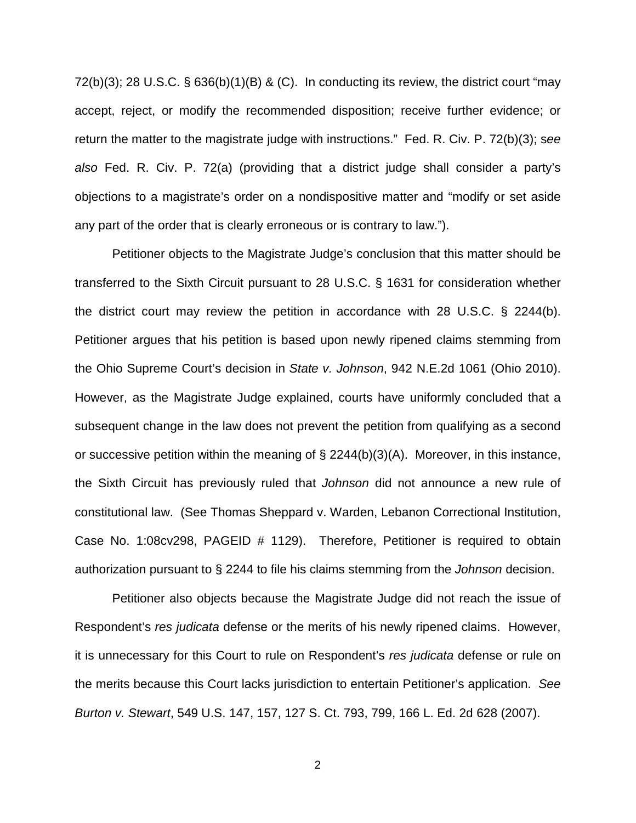72(b)(3); 28 U.S.C.  $\S$  636(b)(1)(B) & (C). In conducting its review, the district court "may accept, reject, or modify the recommended disposition; receive further evidence; or return the matter to the magistrate judge with instructions." Fed. R. Civ. P. 72(b)(3); see also Fed. R. Civ. P. 72(a) (providing that a district judge shall consider a party's objections to a magistrate's order on a nondispositive matter and "modify or set aside any part of the order that is clearly erroneous or is contrary to law.").

Petitioner objects to the Magistrate Judge's conclusion that this matter should be transferred to the Sixth Circuit pursuant to 28 U.S.C. § 1631 for consideration whether the district court may review the petition in accordance with 28 U.S.C. § 2244(b). Petitioner argues that his petition is based upon newly ripened claims stemming from the Ohio Supreme Court's decision in State v. Johnson, 942 N.E.2d 1061 (Ohio 2010). However, as the Magistrate Judge explained, courts have uniformly concluded that a subsequent change in the law does not prevent the petition from qualifying as a second or successive petition within the meaning of  $\S$  2244(b)(3)(A). Moreover, in this instance, the Sixth Circuit has previously ruled that Johnson did not announce a new rule of constitutional law. (See Thomas Sheppard v. Warden, Lebanon Correctional Institution, Case No. 1:08cv298, PAGEID # 1129). Therefore, Petitioner is required to obtain authorization pursuant to § 2244 to file his claims stemming from the Johnson decision.

Petitioner also objects because the Magistrate Judge did not reach the issue of Respondent's res judicata defense or the merits of his newly ripened claims. However, it is unnecessary for this Court to rule on Respondent's res judicata defense or rule on the merits because this Court lacks jurisdiction to entertain Petitioner's application. See Burton v. Stewart, 549 U.S. 147, 157, 127 S. Ct. 793, 799, 166 L. Ed. 2d 628 (2007).

2